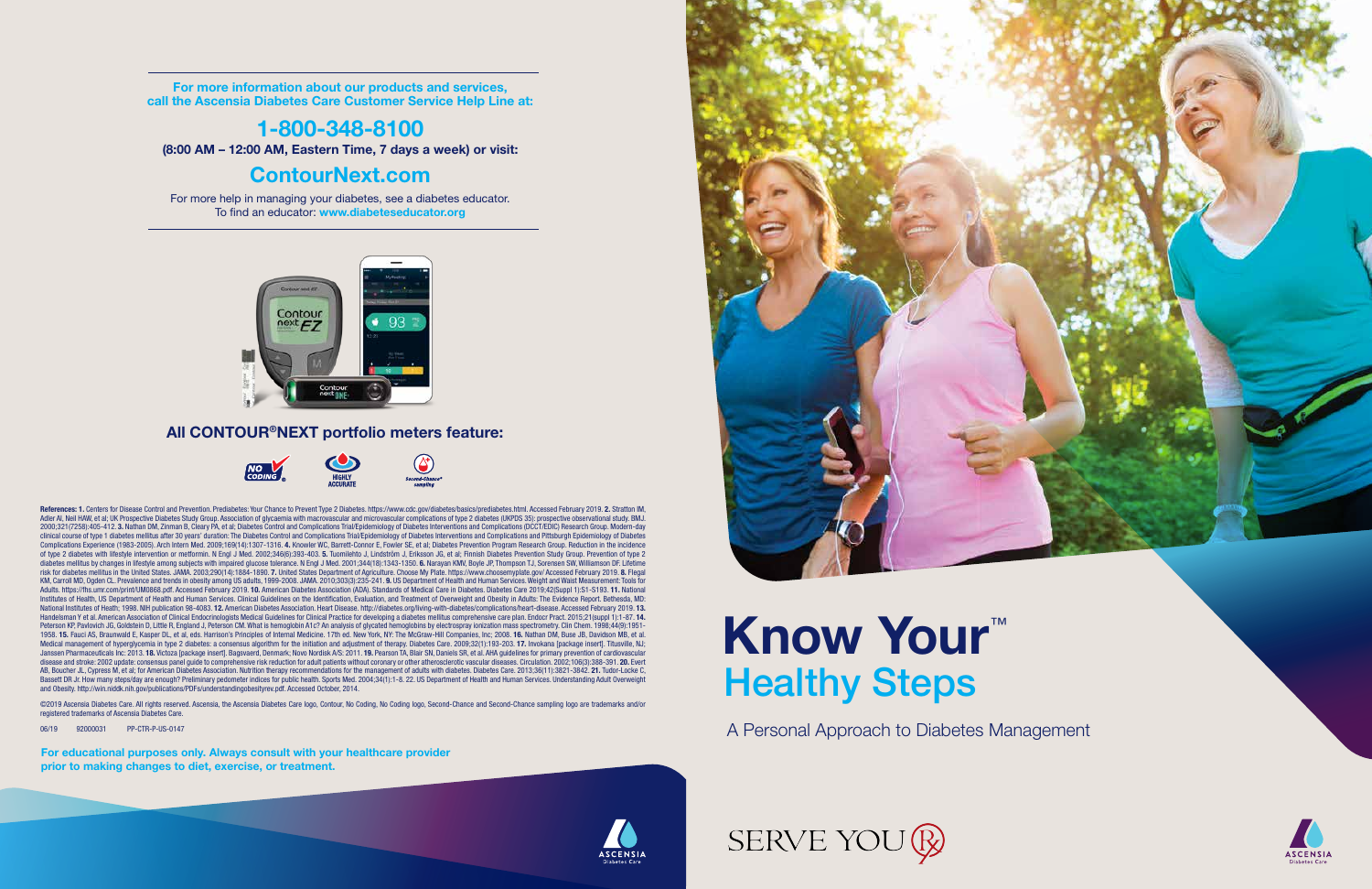A Personal Approach to Diabetes Management



Participant Guide<br>Participant Guide<br>Capacitant Guide<br>Capacitant Guide

# Know Your™ Healthy Steps

For more information about our products and services, call the Ascensia Diabetes Care Customer Service Help Line at:

### 1-800-348-8100

(8:00 AM – 12:00 AM, Eastern Time, 7 days a week) or visit:

### ContourNext.com

For more help in managing your diabetes, see a diabetes educator. To find an educator: www.diabeteseducator.org



### All CONTOUR®NEXT portfolio meters feature:



For educational purposes only. Always consult with your healthcare provider prior to making changes to diet, exercise, or treatment.





References: 1. Centers for Disease Control and Prevention. Prediabetes: Your Chance to Prevent Type 2 Diabetes. https://www.cdc.gov/diabetes/basics/prediabetes.html. Accessed February 2019. 2. Stratton IM, Adler AI, Neil HAW, et al; UK Prospective Diabetes Study Group. Association of glycaemia with macrovascular and microvascular complications of type 2 diabetes (UKPDS 35): prospective observational study. BMJ. 2000;321(7258):405-412. 3. Nathan DM, Zinman B, Cleary PA, et al; Diabetes Control and Complications Trial/Epidemiology of Diabetes Interventions and Complications (DCCT/EDIC) Research Group. Modern-day clinical course of type 1 diabetes mellitus after 30 years' duration: The Diabetes Control and Complications Trial/Epidemiology of Diabetes Interventions and Complications and Pittsburgh Epidemiology of Diabetes Complications Experience (1983-2005). Arch Intern Med. 2009;169(14):1307-1316. 4. Knowler WC, Barrett-Connor E, Fowler SE, et al; Diabetes Prevention Program Research Group. Reduction in the incidence of type 2 diabetes with lifestyle intervention or metformin. N Engl J Med. 2002;346(6):393-403. 5. Tuomilehto J, Lindström J, Eriksson JG, et al; Finnish Diabetes Prevention Study Group. Prevention of type 2 diabetes mellitus by changes in lifestyle among subjects with impaired glucose tolerance. N Engl J Med. 2001;344(18):1343-1350. 6. Narayan KMV, Boyle JP, Thompson TJ, Sorensen SW, Williamson DF. Lifetime risk for diabetes mellitus in the United States. JAMA. 2003;290(14):1884-1890. 7. United States Department of Agriculture. Choose My Plate. https://www.choosemyplate.gov/ Accessed February 2019. 8. Flegal KM, Carroll MD, Ogden CL. Prevalence and trends in obesity among US adults, 1999-2008. JAMA. 2010;303(3):235-241. 9. US Department of Health and Human Services. Weight and Waist Measurement: Tools for Adults. https://fhs.umr.com/print/UM0868.pdf. Accessed February 2019. 10. American Diabetes Association (ADA). Standards of Medical Care in Diabetes. Diabetes Care 2019;42(Suppl 1):S1-S193. 11. National Institutes of Health, US Department of Health and Human Services. Clinical Guidelines on the Identification, Evaluation, and Treatment of Overweight and Obesity in Adults: The Evidence Report. Bethesda, MD: Mational Institutes of Heath; 1998. NIH publication 98-4083. 12. American Diabetes Association. Heart Disease. http://diabetes.org/living-with-diabetes/complications/heart-disease. Accessed February 2019. 13. Handelsman Y et al. American Association of Clinical Endocrinologists Medical Guidelines for Clinical Practice for developing a diabetes mellitus comprehensive care plan. Endocr Pract. 2015;21(suppl 1):1-87. **14.**<br>Peterson 1958. 15. Fauci AS, Braunwald E, Kasper DL, et al, eds. Harrison's Principles of Internal Medicine. 17th ed. New York, NY: The McGraw-Hill Companies, Inc; 2008. 16. Nathan DM, Buse JB, Davidson MB, et al. Medical management of hyperglycemia in type 2 diabetes: a consensus algorithm for the initiation and adjustment of therapy. Diabetes Care. 2009;32(1):193-203. 17. Invokana [package insert]. Titusville, NJ; Janssen Pharmaceuticals Inc: 2013. 18. Victoza [package insert]. Bagsvaerd, Denmark; Novo Nordisk A/S: 2011. 19. Pearson TA, Blair SN, Daniels SR, et al. AHA guidelines for primary prevention of cardiovascular disease and stroke: 2002 update: consensus panel guide to comprehensive risk reduction for adult patients without coronary or other atherosclerotic vascular diseases. Circulation. 2002;106(3):388-391. 20. Evert AB, Boucher JL, Cypress M, et al; for American Diabetes Association. Nutrition therapy recommendations for the management of adults with diabetes. Diabetes Care. 2013;36(11):3821-3842. **21.** Tudor-Locke C,<br>Bassett DR Jr. H and Obesity. http://win.niddk.nih.gov/publications/PDFs/understandingobesityrev.pdf. Accessed October, 2014.

©2019 Ascensia Diabetes Care. All rights reserved. Ascensia, the Ascensia Diabetes Care logo, Contour, No Coding, No Coding logo, Second-Chance and Second-Chance sampling logo are trademarks and/or registered trademarks of Ascensia Diabetes Care.

06/19 92000031 PP-CTR-P-US-0147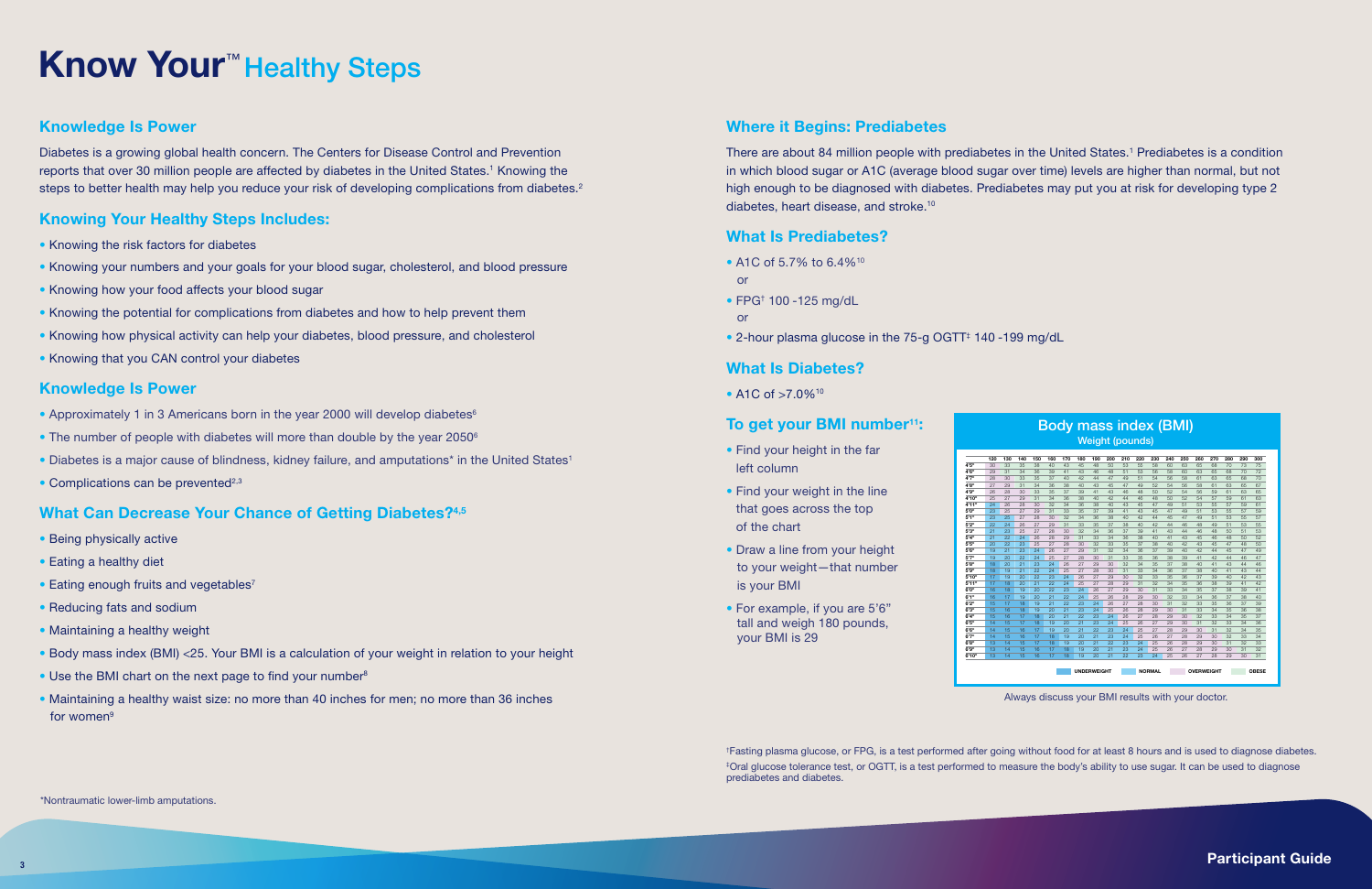Diabetes is a growing global health concern. The Centers for Disease Control and Prevention reports that over 30 million people are affected by diabetes in the United States.<sup>1</sup> Knowing the steps to better health may help you reduce your risk of developing complications from diabetes.<sup>2</sup>

# Know Your<sup>™</sup> Healthy Steps

### Knowledge Is Power

- Knowing the risk factors for diabetes
- Knowing your numbers and your goals for your blood sugar, cholesterol, and blood pressure
- Knowing how your food affects your blood sugar
- Knowing the potential for complications from diabetes and how to help prevent them
- Knowing how physical activity can help your diabetes, blood pressure, and cholesterol
- Knowing that you CAN control your diabetes

### Knowing Your Healthy Steps Includes:

- Being physically active
- Eating a healthy diet
- $\bullet$  Eating enough fruits and vegetables<sup>7</sup>
- Reducing fats and sodium
- Maintaining a healthy weight
- Body mass index (BMI) <25. Your BMI is a calculation of your weight in relation to your height
- Use the BMI chart on the next page to find your number<sup>8</sup>
- Maintaining a healthy waist size: no more than 40 inches for men; no more than 36 inches for women<sup>9</sup>

### Knowledge Is Power

- Approximately 1 in 3 Americans born in the year 2000 will develop diabetes<sup>6</sup>
- The number of people with diabetes will more than double by the year 2050<sup>6</sup>
- Diabetes is a major cause of blindness, kidney failure, and amputations<sup>\*</sup> in the United States<sup>1</sup>
- Complications can be prevented $2,3$

### What Can Decrease Your Chance of Getting Diabetes?<sup>4,5</sup>

There are about 84 million people with prediabetes in the United States.<sup>1</sup> Prediabetes is a condition in which blood sugar or A1C (average blood sugar over time) levels are higher than normal, but not high enough to be diagnosed with diabetes. Prediabetes may put you at risk for developing type 2 diabetes, heart disease, and stroke.10

### Where it Begins: Prediabetes

### What Is Prediabetes?

- A1C of 5.7% to 6.4%<sup>10</sup> or
- FPG† 100 -125 mg/dL
- or
- 2-hour plasma glucose in the 75-g OGTT<sup>‡</sup> 140 -199 mg/dL

### What Is Diabetes?

• A1C of >7.0%<sup>10</sup>

### To get your BMI number<sup>11</sup>:

- Find your height in the far left column
- Find your weight in the line that goes across the top of the chart
- Draw a line from your height to your weight—that number is your BMI
- For example, if you are 5'6" tall and weigh 180 pounds, your BMI is 29

Always discuss your BMI results with your doctor.

 $\mathbf{S}^{3}$  and the contribution of the contribution of the contribution of the contribution of the contribution of the contribution of  $\mathbf{P}$  articipant Guide

† Fasting plasma glucose, or FPG, is a test performed after going without food for at least 8 hours and is used to diagnose diabetes. ‡ Oral glucose tolerance test, or OGTT, is a test performed to measure the body's ability to use sugar. It can be used to diagnose prediabetes and diabetes.

\*Nontraumatic lower-limb amputations.

|     |     |     | <b>Body mass index (BMI)</b> |     |                    |     |     |                        |     |               |     |              |     |                   |     |     |              |
|-----|-----|-----|------------------------------|-----|--------------------|-----|-----|------------------------|-----|---------------|-----|--------------|-----|-------------------|-----|-----|--------------|
|     |     |     |                              |     |                    |     |     | <b>Weight (pounds)</b> |     |               |     |              |     |                   |     |     |              |
| 130 | 140 | 150 | 160                          | 170 | 180                | 190 | 200 | 210                    | 220 | 230           | 240 | 250          | 260 | 270               | 280 | 290 | 300          |
| 33  | 35  | 38  | 40                           | 43  | 45                 | 48  | 50  | 53                     | 55  | 58            | ഩ   | 63           | 65  | 68                | 70  | 73  | 75           |
| 31  | 34  | 36  | 39                           | 41  | 43                 | 46  | 48  | 51                     | 53  | 56            | 58  | 60           | 63  | 65                | 68  | 70  | 72           |
| 30  | 33  | 35  | 37                           | 40  | 42                 | 44  | 47  | 49                     | 51  | 54            | 56  | 58           | 61  | 63                | 65  | 68  | 70           |
| 29  | 31  | 34  | 36                           | 38  | 40                 | 43  | 45  | 47                     | 49  | 52            | 54  | 56           | 58  | 61                | 63  | 65  | 67           |
| 28  | 30  | 33  | 35                           | 37  | 39                 | 41  | 43  | 46                     | 48  | 50            | 52  | 54           | 56  | 59                | 61  | 63  | 65           |
| 27  | 29  | 31  | 34                           | 36  | 38                 | 40  | 42  | 44                     | 46  | 48            | 50  | 52           | 54  | 57                | 59  | 61  | 63           |
| 26  | 28  | 30  | 32                           | 34  | 36                 | 38  | 40  | 43                     | 45  | 47            | 49  | 51           | 53  | 55                | 57  | 59  | 61           |
| 25  | 27  | 29  | 31                           | 33  | 35                 | 37  | 39  | 41                     | 43  | 45            | 47  | 49           | 51  | 53                | 55  | 57  | 59           |
| 25  | 27  | 28  | 30                           | 32  | 34                 | 36  | 38  | 40                     | 42  | 44            | 45  | 47           | 49  | 51                | 53  | 55  | 57           |
| 24  | 26  | 27  | 29                           | 31  | 33                 | 35  | 37  | 38                     | 40  | 42            | 44  | 46           | 48  | 49                | 51  | 53  | 55           |
| 23  | 25  | 27  | 28                           | 30  | 32                 | 34  | 36  | 37                     | 39  | 41            | 43  | 44           | 46  | 48                | 50  | 51  | 53           |
| 22  | 24  | 26  | 28                           | 29  | 31                 | 33  | 34  | 36                     | 38  | 40            | 41  | 43           | 45  | 46                | 48  | 50  | 52           |
| 22  | 23  | 25  | 27                           | 28  | 30                 | 32  | 33  | 35                     | 37  | 38            | 40  | 42           | 43  | 45                | 47  | 48  | 50           |
| 21  | 23  | 24  | 26                           | 27  | 29                 | 31  | 32  | 34                     | 36  | 37            | 39  | 40           | 42  | 44                | 45  | 47  | 49           |
| 20  | 22  | 24  | 25                           | 27  | 28                 | 30  | 31  | 33                     | 35  | 36            | 38  | 39           | 41  | 42                | 44  | 46  | 47           |
| 20  | 21  | 23  | 24                           | 26  | 27                 | 29  | 30  | 32                     | 34  | 35            | 37  | 38           | 40  | 41                | 43  | 44  | 46           |
| 19  | 21  | 22  | 24                           | 25  | 27                 | 28  | 30  | 31                     | 33  | 34            | 36  | 37           | 38  | 40                | 41  | 43  | 44           |
| 19  | 20  | 22  | 23                           | 24  | 26                 | 27  | 29  | 30                     | 32  | 33            | 35  | 36           | 37  | 39                | 40  | 42  | 43           |
| 18  | 20  | 21  | 22                           | 24  | 25                 | 27  | 28  | 29                     | 31  | 32            | 34  | 35           | 36  | 38                | 39  | 41  | 42           |
| 18  | 19  | 20  | 22                           | 23  | 24                 | 26  | 27  | 29                     | 30  | 31            | 33  | 34           | 35  | 37                | 38  | 39  | 41           |
| 17  | 19  | 20  | 21                           | 22  | 24                 | 25  | 26  | 28                     | 29  | 30            | 32  | 33           | 34  | 36                | 37  | 38  | 40           |
| 17  | 18  | 19  | 21                           | 22  | 23                 | 24  | 26  | 27                     | 28  | 30            | 31  | 32           | 33  | 35                | 36  | 37  | 39           |
| 16  | 18  | 19  | 20                           | 21  | 23                 | 24  | 25  | 26                     | 28  | 29            | 30  | 31           | 33  | 34                | 35  | 36  | 38           |
| 16  | 17  | 18  | 20                           | 21  | 22                 | 23  | 24  | 26                     | 27  | 28            | 29  | $30^{\circ}$ | 32  | 33                | 34  | 35  | 37           |
| 15  | 17  | 18  | 19                           | 20  | 21                 | 23  | 24  | 25                     | 26  | 27            | 29  | 30           | 31  | 32                | 33  | 34  | 36           |
| 15  | 16  | 17  | 19                           | 20  | 21                 | 22  | 23  | 24                     | 25  | 27            | 28  | 29           | 30  | 31                | 32  | 34  | 35           |
| 15  | 16  | 17  | 18                           | 19  | 20                 | 21  | 23  | 24                     | 25  | 26            | 27  | 28           | 29  | 30                | 32  | 33  | 34           |
| 14  | 15  | 17  | 18                           | 19  | 20                 | 21  | 22  | 23                     | 24  | 25            | 26  | 28           | 29  | 30                | 31  | 32  | 33           |
| 14  | 15  | 16  | 17                           | 18  | 19                 | 20  | 21  | 23                     | 24  | 25            | 26  | 27           | 28  | 29                | 30  | 31  | 32           |
| 14  | 15  | 16  | 17                           | 18  | 19                 | 20  | 21  | 22                     | 23  | 24            | 25  | 26           | 27  | 28                | 29  | 30  | 31           |
|     |     |     |                              |     | <b>UNDERWEIGHT</b> |     |     |                        |     | <b>NORMAL</b> |     |              |     | <b>OVERWEIGHT</b> |     |     | <b>OBESE</b> |

 $\begin{array}{c} 4\cdot5\cdot9\cdot9\cdot9\cdot10\cdot11\cdot12\cdot13\cdot14\cdot15\cdot12\cdot14\cdot15\cdot12\cdot14\cdot15\cdot12\cdot14\cdot15\cdot12\cdot14\cdot15\cdot12\cdot14\cdot15\cdot12\cdot14\cdot15\cdot12\cdot14\cdot15\cdot12\cdot14\cdot15\cdot12\cdot14\cdot14\cdot15\cdot12\cdot14\cdot14\cdot15\cdot12\cdot14\cdot14\cdot14\cdot15\cdot12\cdot14\cdot14\cdot14\cdot15\cdot12\cdot1$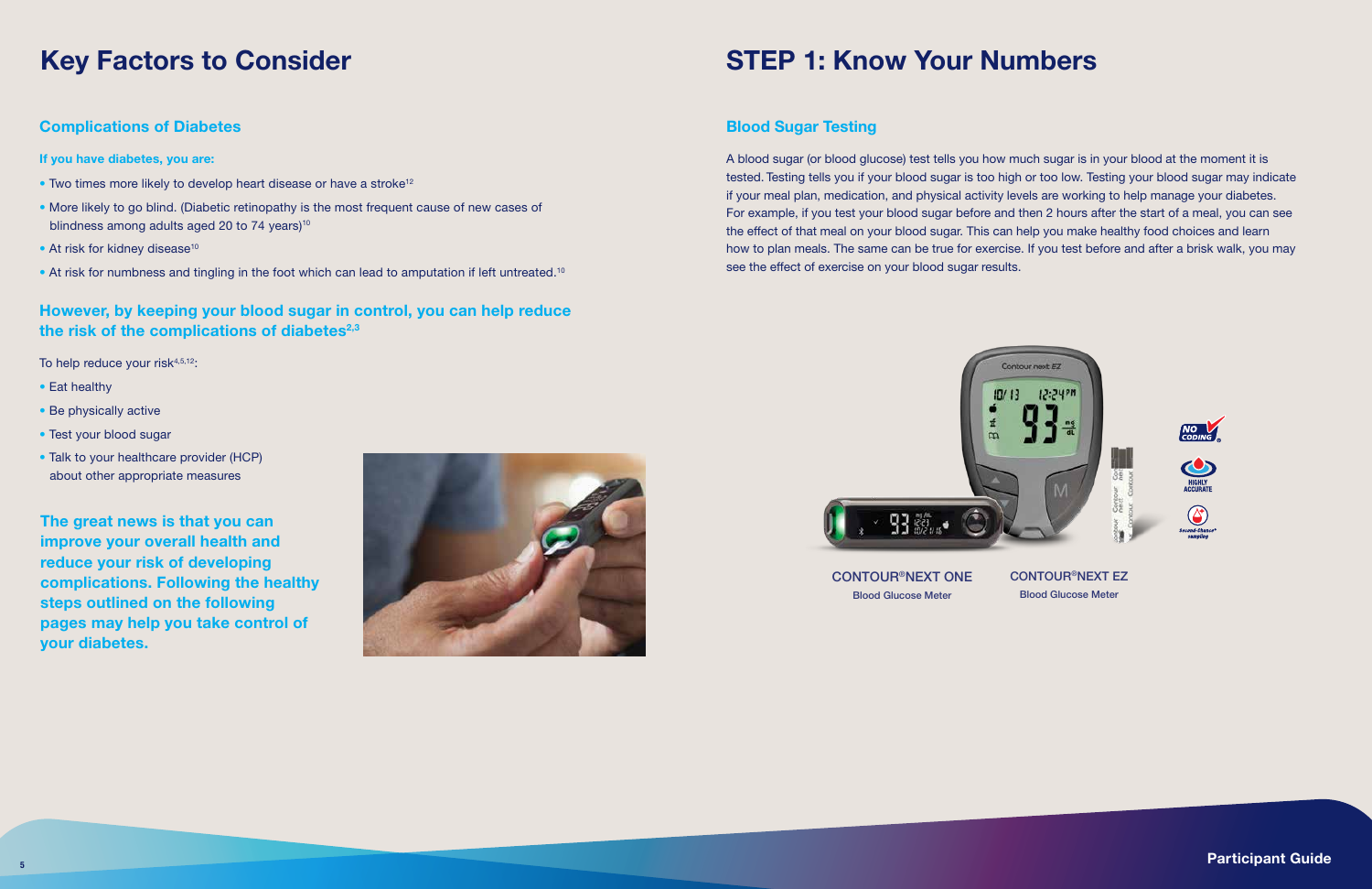### Key Factors to Consider

- If you have diabetes, you are:
- Two times more likely to develop heart disease or have a stroke<sup>12</sup>
- More likely to go blind. (Diabetic retinopathy is the most frequent cause of new cases of blindness among adults aged 20 to 74 years) $10$
- $\bullet$  At risk for kidney disease<sup>10</sup>
- At risk for numbness and tingling in the foot which can lead to amputation if left untreated.<sup>10</sup>

### Complications of Diabetes

### However, by keeping your blood sugar in control, you can help reduce the risk of the complications of diabetes<sup>2,3</sup>

To help reduce your risk $4,5,12$ :

- Eat healthy
- Be physically active
- Test your blood sugar
- Talk to your healthcare provider (HCP) about other appropriate measures



CONTOUR®NEXT ONE Blood Glucose Meter

CONTOUR®NEXT EZ Blood Glucose Meter

 $\frac{1}{5}$  participant Guide  $\frac{1}{5}$  Participant Guide

### Blood Sugar Testing

A blood sugar (or blood glucose) test tells you how much sugar is in your blood at the moment it is tested. Testing tells you if your blood sugar is too high or too low. Testing your blood sugar may indicate if your meal plan, medication, and physical activity levels are working to help manage your diabetes. For example, if you test your blood sugar before and then 2 hours after the start of a meal, you can see the effect of that meal on your blood sugar. This can help you make healthy food choices and learn how to plan meals. The same can be true for exercise. If you test before and after a brisk walk, you may see the effect of exercise on your blood sugar results.

### STEP 1: Know Your Numbers

The great news is that you can improve your overall health and reduce your risk of developing complications. Following the healthy steps outlined on the following pages may help you take control of your diabetes.

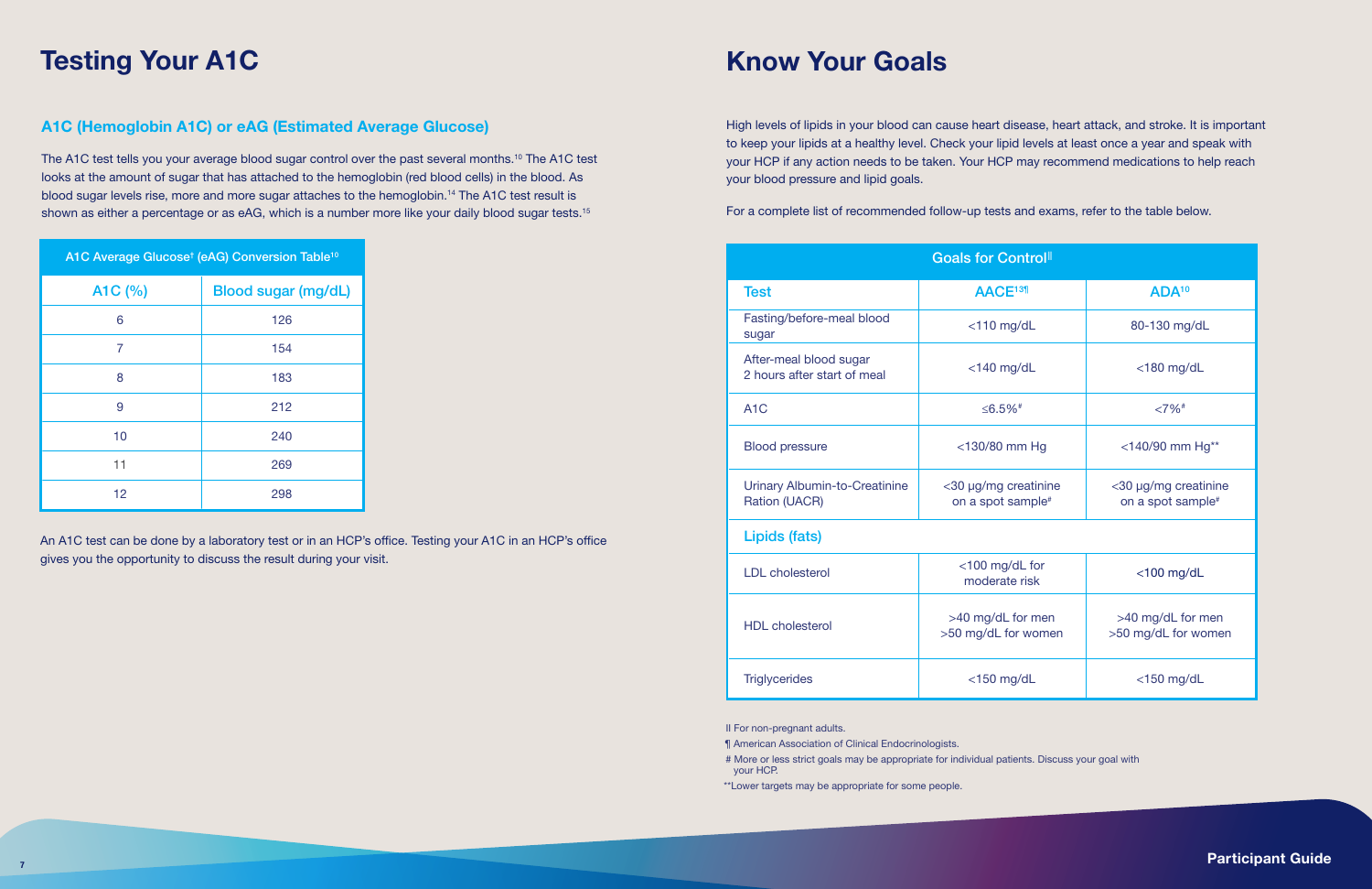The A1C test tells you your average blood sugar control over the past several months.10 The A1C test looks at the amount of sugar that has attached to the hemoglobin (red blood cells) in the blood. As blood sugar levels rise, more and more sugar attaches to the hemoglobin.14 The A1C test result is shown as either a percentage or as eAG, which is a number more like your daily blood sugar tests.<sup>15</sup>

### A1C (Hemoglobin A1C) or eAG (Estimated Average Glucose)

High levels of lipids in your blood can cause heart disease, heart attack, and stroke. It is important to keep your lipids at a healthy level. Check your lipid levels at least once a year and speak with your HCP if any action needs to be taken. Your HCP may recommend medications to help reach your blood pressure and lipid goals.

For a complete list of recommended follow-up tests and exams, refer to the table below.

|         | A1C Average Glucose <sup>t</sup> (eAG) Conversion Table <sup>10</sup> |
|---------|-----------------------------------------------------------------------|
| A1C (%) | <b>Blood sugar (mg/dL)</b>                                            |
| 6       | 126                                                                   |
| 7       | 154                                                                   |
| 8       | 183                                                                   |
| 9       | 212                                                                   |
| 10      | 240                                                                   |
| 11      | 269                                                                   |
| 12      | 298                                                                   |

An A1C test can be done by a laboratory test or in an HCP's office. Testing your A1C in an HCP's office gives you the opportunity to discuss the result during your visit.

## Testing Your A1C

|                                                       | <b>Goals for Control</b>                              |                                                       |
|-------------------------------------------------------|-------------------------------------------------------|-------------------------------------------------------|
| <b>Test</b>                                           | AACE <sup>13¶</sup>                                   | ADA <sup>10</sup>                                     |
| Fasting/before-meal blood<br>sugar                    | $<$ 110 mg/dL                                         | 80-130 mg/dL                                          |
| After-meal blood sugar<br>2 hours after start of meal | $<$ 140 mg/dL                                         | $<$ 180 mg/dL                                         |
| A <sub>1</sub> C                                      | ≤6.5% <sup>#</sup>                                    | $<7\%$ <sup>#</sup>                                   |
| <b>Blood pressure</b>                                 | $<$ 130/80 mm Hg                                      | <140/90 mm Hg**                                       |
| Urinary Albumin-to-Creatinine<br>Ration (UACR)        | <30 µg/mg creatinine<br>on a spot sample <sup>#</sup> | <30 µg/mg creatinine<br>on a spot sample <sup>#</sup> |
| Lipids (fats)                                         |                                                       |                                                       |
| <b>LDL</b> cholesterol                                | <100 mg/dL for<br>moderate risk                       | $<$ 100 mg/dL                                         |
| <b>HDL</b> cholesterol                                | >40 mg/dL for men<br>>50 mg/dL for women              | >40 mg/dL for men<br>>50 mg/dL for women              |
| <b>Triglycerides</b>                                  | $<$ 150 mg/dL                                         | $<$ 150 mg/dL                                         |

II For non-pregnant adults.

¶ American Association of Clinical Endocrinologists.

# More or less strict goals may be appropriate for individual patients. Discuss your goal with your HCP.

\*\*Lower targets may be appropriate for some people.

7 Participant Guide in the contract of the contract of the contract of the contract of the contract of the contract of the contract of the contract of the contract of the contract of the contract of the contract of the con

## Know Your Goals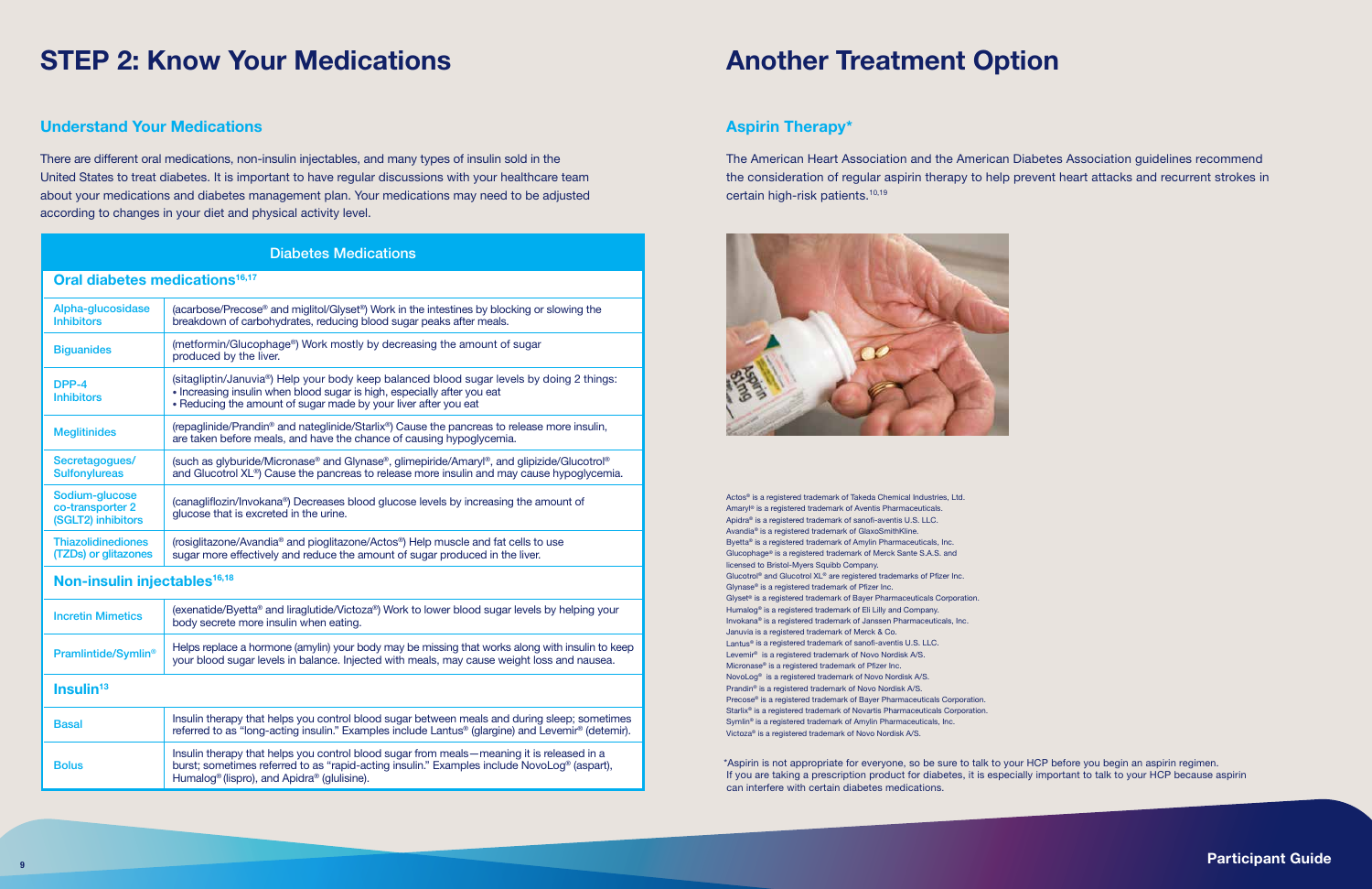<sup>9</sup> Participant Guide

\*Aspirin is not appropriate for everyone, so be sure to talk to your HCP before you begin an aspirin regimen. If you are taking a prescription product for diabetes, it is especially important to talk to your HCP because aspirin can interfere with certain diabetes medications.

### Aspirin Therapy\*

The American Heart Association and the American Diabetes Association guidelines recommend the consideration of regular aspirin therapy to help prevent heart attacks and recurrent strokes in certain high-risk patients.10,19



Actos® is a registered trademark of Takeda Chemical Industries, Ltd. Amaryl® is a registered trademark of Aventis Pharmaceuticals. Apidra® is a registered trademark of sanofi-aventis U.S. LLC. Avandia® is a registered trademark of GlaxoSmithKline. Byetta® is a registered trademark of Amylin Pharmaceuticals, Inc. Glucophage® is a registered trademark of Merck Sante S.A.S. and licensed to Bristol-Myers Squibb Company. Glucotrol® and Glucotrol XL® are registered trademarks of Pfizer Inc. Glynase® is a registered trademark of Pfizer Inc. Glyset® is a registered trademark of Bayer Pharmaceuticals Corporation. Humalog® is a registered trademark of Eli Lilly and Company. Invokana® is a registered trademark of Janssen Pharmaceuticals, Inc. Januvia is a registered trademark of Merck & Co. Lantus® is a registered trademark of sanofi-aventis U.S. LLC. Levemir® is a registered trademark of Novo Nordisk A/S. Micronase® is a registered trademark of Pfizer Inc. NovoLog® is a registered trademark of Novo Nordisk A/S. Prandin® is a registered trademark of Novo Nordisk A/S. Precose® is a registered trademark of Bayer Pharmaceuticals Corporation. Starlix® is a registered trademark of Novartis Pharmaceuticals Corporation. Symlin® is a registered trademark of Amylin Pharmaceuticals, Inc. Victoza® is a registered trademark of Novo Nordisk A/S.

### STEP 2: Know Your Medications **Another Treatment Option**

### Understand Your Medications

There are different oral medications, non-insulin injectables, and many types of insulin sold in the United States to treat diabetes. It is important to have regular discussions with your healthcare team about your medications and diabetes management plan. Your medications may need to be adjusted according to changes in your diet and physical activity level.

#### Oral diabetes medications<sup>16,17</sup> Alpha-glucosidase Inhibitors (acarbose/Precose® and miglitol/Glyset®) Work in the intestines by blocking or slowing the breakdown of carbohydrates, reducing blood sugar peaks after meals. Biguanides (metformin/Glucophage®) Work mostly by decreasing the amount of sugar produced by the liver. DPP-4 **Inhibitors** (sitagliptin/Januvia®) Help your body keep balanced blood sugar levels by doing 2 things: • Increasing insulin when blood sugar is high, especially after you eat • Reducing the amount of sugar made by your liver after you eat Meglitinides (repaglinide/Prandin® and nateglinide/Starlix®) Cause the pancreas to release more insulin, are taken before meals, and have the chance of causing hypoglycemia. Secretagogues/ **Sulfonylureas** (such as glyburide/Micronase® and Glynase®, glimepiride/Amaryl®, and glipizide/Glucotrol® and Glucotrol XL®) Cause the pancreas to release more insulin and may cause hypoglycemia. Sodium-glucose co-transporter 2 (SGLT2) inhibitors (canagliflozin/Invokana®) Decreases blood glucose levels by increasing the amount of glucose that is excreted in the urine. **Thiazolidinediones** (TZDs) or glitazones (rosiglitazone/Avandia® and pioglitazone/Actos®) Help muscle and fat cells to use sugar more effectively and reduce the amount of sugar produced in the liver. Non-insulin injectables<sup>16,18</sup> Incretin Mimetics (exenatide/Byetta® and liraglutide/Victoza®) Work to lower blood sugar levels by helping your body secrete more insulin when eating. **Pramlintide/Symlin<sup>®</sup>** Helps replace a hormone (amylin) your body may be missing that works along with insulin to keep your blood sugar levels in balance. Injected with meals, may cause weight loss and nausea.  $Insulin<sup>13</sup>$ **Basal Insulin therapy that helps you control blood sugar between meals and during sleep; sometimes** referred to as "long-acting insulin." Examples include Lantus® (glargine) and Levemir® (detemir). **Bolus** Insulin therapy that helps you control blood sugar from meals—meaning it is released in a burst; sometimes referred to as "rapid-acting insulin." Examples include NovoLog® (aspart), Humalog® (lispro), and Apidra® (glulisine). Diabetes Medications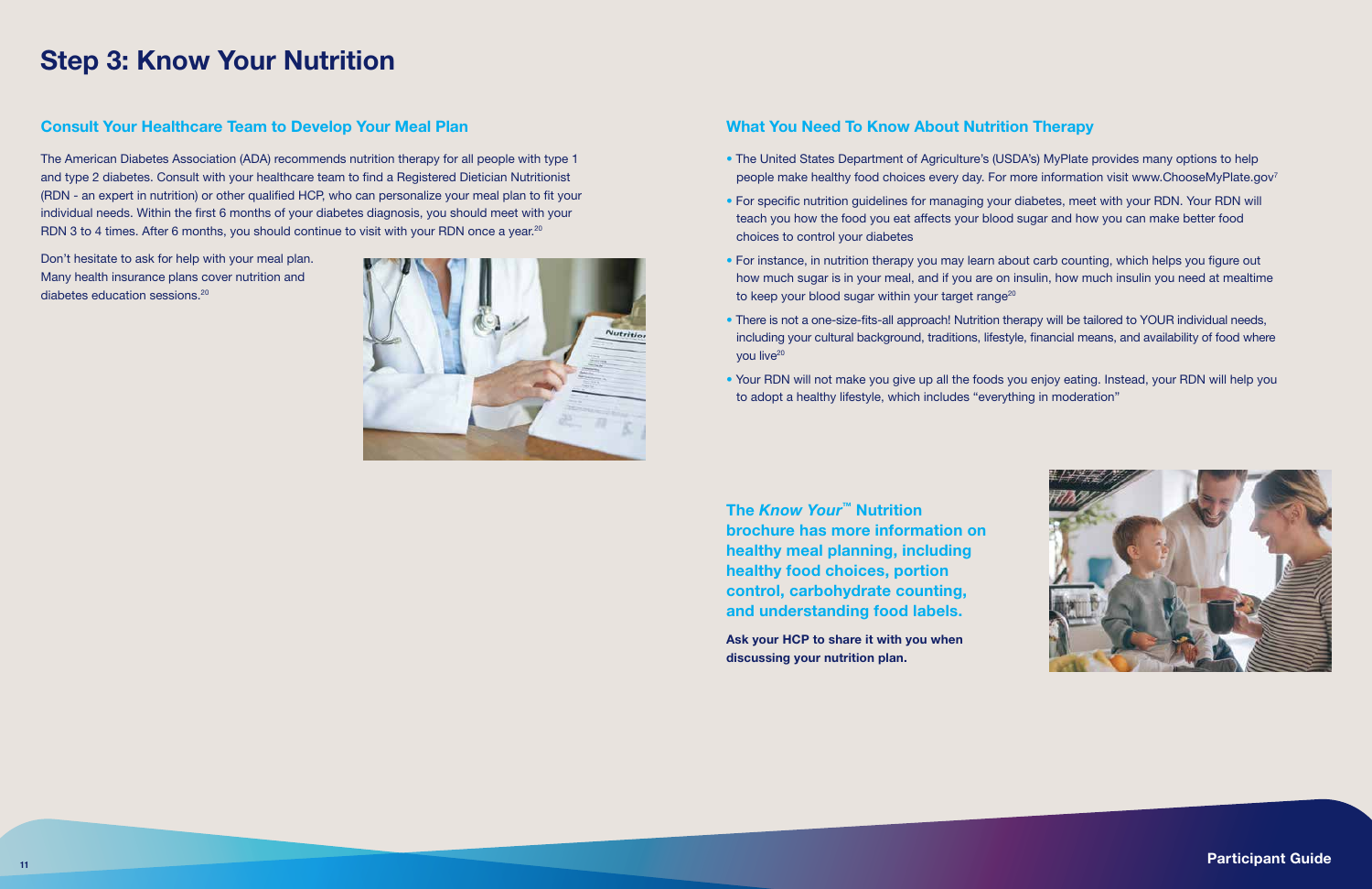### What You Need To Know About Nutrition Therapy

- The United States Department of Agriculture's (USDA's) MyPlate provides many options to help people make healthy food choices every day. For more information visit www.ChooseMyPlate.gov<sup>7</sup>
- For specific nutrition guidelines for managing your diabetes, meet with your RDN. Your RDN will teach you how the food you eat affects your blood sugar and how you can make better food choices to control your diabetes
- For instance, in nutrition therapy you may learn about carb counting, which helps you figure out how much sugar is in your meal, and if you are on insulin, how much insulin you need at mealtime to keep your blood sugar within your target range<sup>20</sup>
- There is not a one-size-fits-all approach! Nutrition therapy will be tailored to YOUR individual needs, including your cultural background, traditions, lifestyle, financial means, and availability of food where you live<sup>20</sup>
- Your RDN will not make you give up all the foods you enjoy eating. Instead, your RDN will help you to adopt a healthy lifestyle, which includes "everything in moderation"

The American Diabetes Association (ADA) recommends nutrition therapy for all people with type 1 and type 2 diabetes. Consult with your healthcare team to find a Registered Dietician Nutritionist (RDN - an expert in nutrition) or other qualified HCP, who can personalize your meal plan to fit your individual needs. Within the first 6 months of your diabetes diagnosis, you should meet with your RDN 3 to 4 times. After 6 months, you should continue to visit with your RDN once a year.<sup>20</sup>

### Step 3: Know Your Nutrition

### Consult Your Healthcare Team to Develop Your Meal Plan

Don't hesitate to ask for help with your meal plan. Many health insurance plans cover nutrition and diabetes education sessions.20



The *Know Your™* Nutrition brochure has more information on healthy meal planning, including healthy food choices, portion control, carbohydrate counting, and understanding food labels.

Ask your HCP to share it with you when discussing your nutrition plan.

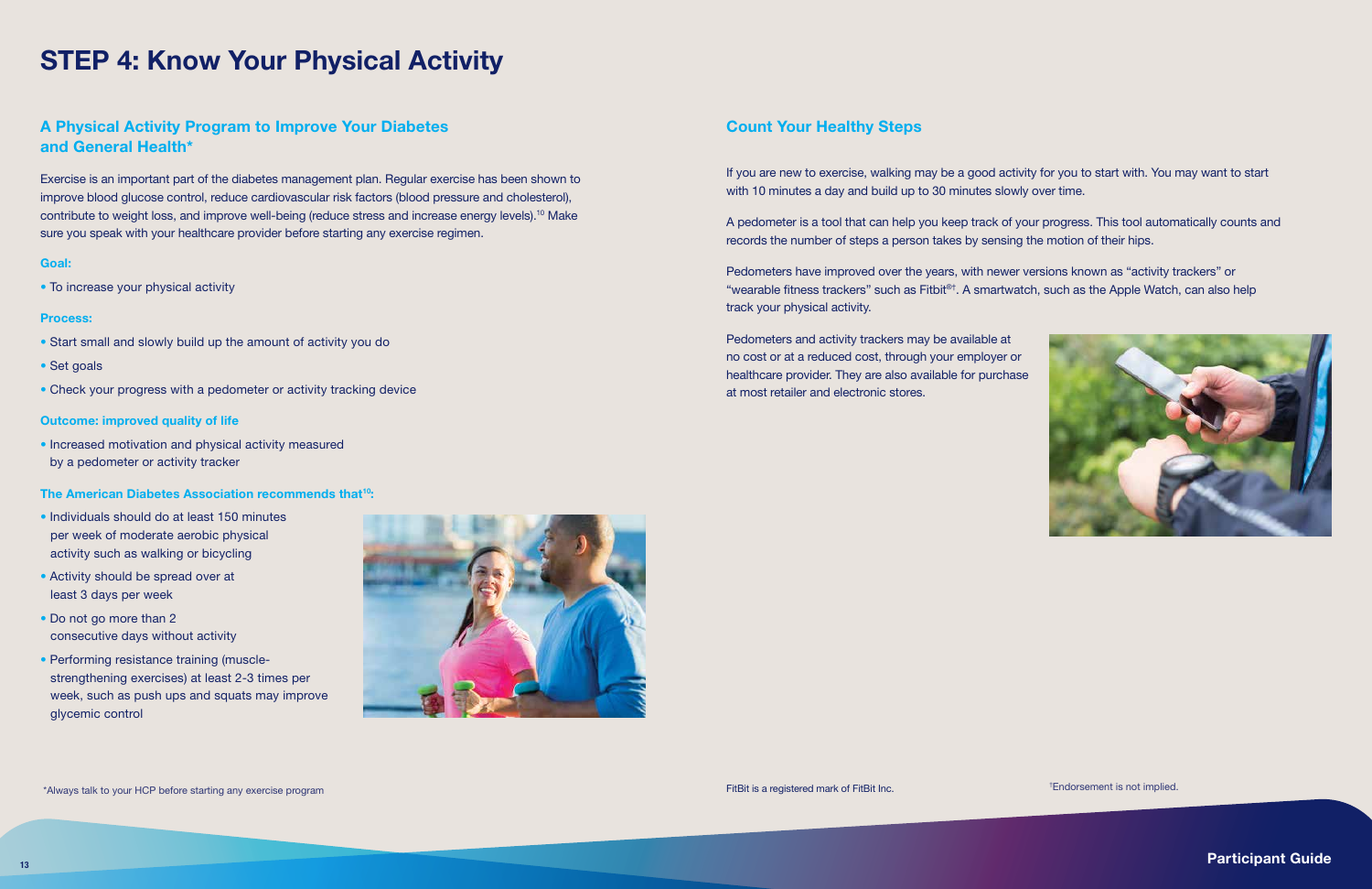### A Physical Activity Program to Improve Your Diabetes and General Health\*

Exercise is an important part of the diabetes management plan. Regular exercise has been shown to improve blood glucose control, reduce cardiovascular risk factors (blood pressure and cholesterol), contribute to weight loss, and improve well-being (reduce stress and increase energy levels).<sup>10</sup> Make sure you speak with your healthcare provider before starting any exercise regimen.

#### Goal:

• To increase your physical activity

#### Process:

- Start small and slowly build up the amount of activity you do
- Set goals
- Check your progress with a pedometer or activity tracking device

#### Outcome: improved quality of life

• Increased motivation and physical activity measured by a pedometer or activity tracker

#### The American Diabetes Association recommends that<sup>10</sup>:

- Individuals should do at least 150 minutes per week of moderate aerobic physical activity such as walking or bicycling
- Activity should be spread over at least 3 days per week
- Do not go more than 2 consecutive days without activity
- Performing resistance training (musclestrengthening exercises) at least 2-3 times per week, such as push ups and squats may improve glycemic control



### Count Your Healthy Steps

If you are new to exercise, walking may be a good activity for you to start with. You may want to start with 10 minutes a day and build up to 30 minutes slowly over time.

A pedometer is a tool that can help you keep track of your progress. This tool automatically counts and records the number of steps a person takes by sensing the motion of their hips.

Pedometers have improved over the years, with newer versions known as "activity trackers" or "wearable fitness trackers" such as Fitbit®†. A smartwatch, such as the Apple Watch, can also help track your physical activity.

Pedometers and activity trackers may be available at no cost or at a reduced cost, through your employer or healthcare provider. They are also available for purchase at most retailer and electronic stores.



## STEP 4: Know Your Physical Activity

† Endorsement is not implied.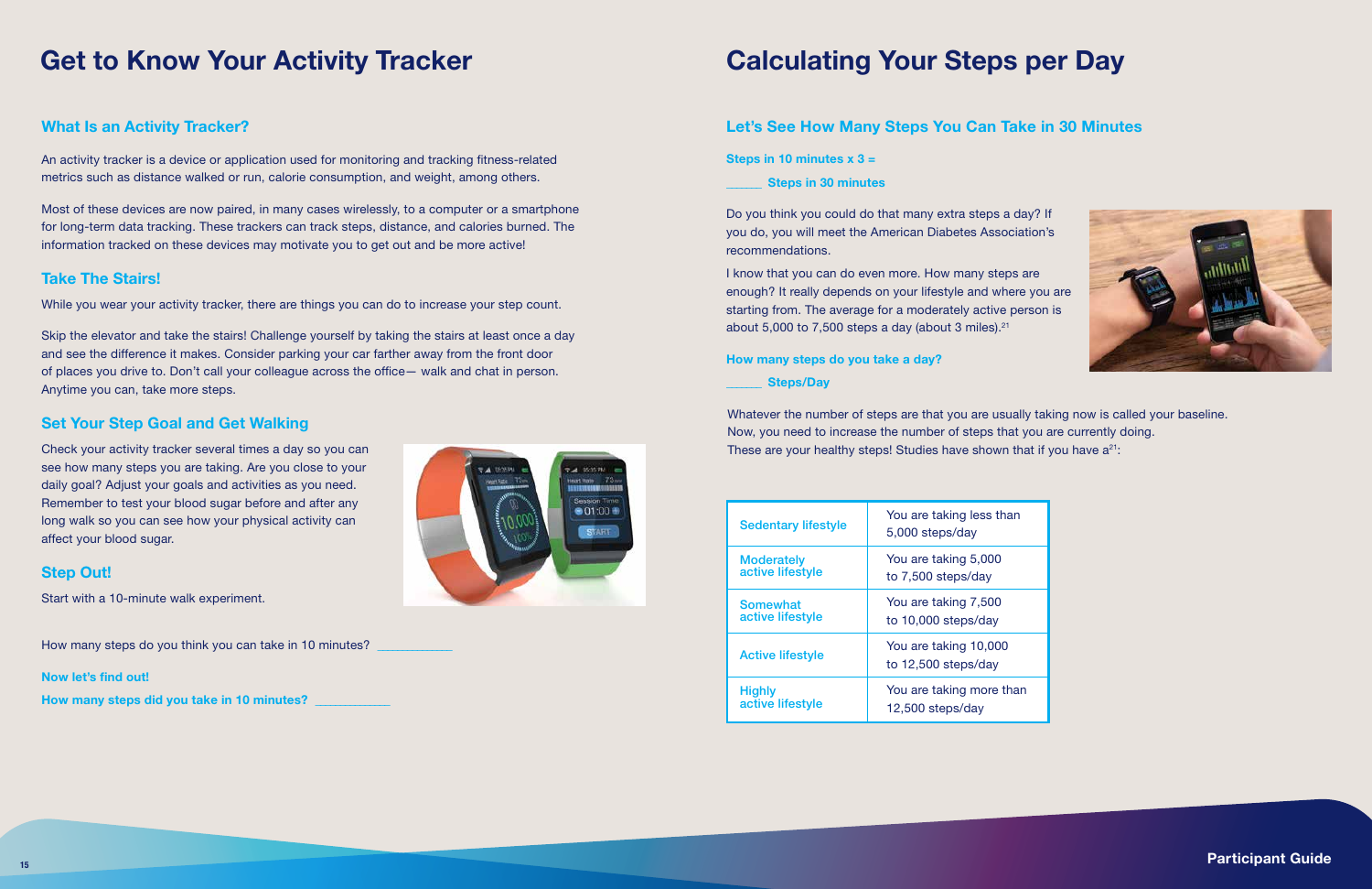### Let's See How Many Steps You Can Take in 30 Minutes

Steps in 10 minutes  $x$  3 =

\_\_\_\_\_\_\_ Steps in 30 minutes

I know that you can do even more. How many steps are enough? It really depends on your lifestyle and where you are starting from. The average for a moderately active person is about 5,000 to 7,500 steps a day (about 3 miles). $21$ 

Do you think you could do that many extra steps a day? If you do, you will meet the American Diabetes Association's recommendations.

Whatever the number of steps are that you are usually taking now is called your baseline. Now, you need to increase the number of steps that you are currently doing. These are your healthy steps! Studies have shown that if you have  $a^{21}$ :

#### How many steps do you take a day?

#### Steps/Day

## Get to Know Your Activity Tracker Calculating Your Steps per Day

### What Is an Activity Tracker?

An activity tracker is a device or application used for monitoring and tracking fitness-related metrics such as distance walked or run, calorie consumption, and weight, among others.

Most of these devices are now paired, in many cases wirelessly, to a computer or a smartphone for long-term data tracking. These trackers can track steps, distance, and calories burned. The information tracked on these devices may motivate you to get out and be more active!

### Take The Stairs!

While you wear your activity tracker, there are things you can do to increase your step count.

Skip the elevator and take the stairs! Challenge yourself by taking the stairs at least once a day and see the difference it makes. Consider parking your car farther away from the front door of places you drive to. Don't call your colleague across the office— walk and chat in person. Anytime you can, take more steps.

### Set Your Step Goal and Get Walking

Check your activity tracker several times a day so you can see how many steps you are taking. Are you close to your daily goal? Adjust your goals and activities as you need. Remember to test your blood sugar before and after any long walk so you can see how your physical activity can affect your blood sugar.

### Step Out!

Start with a 10-minute walk experiment.

How many steps do you think you can take in 10 minutes?

Now let's find out!

How many steps did you take in 10 minutes?



| <b>Sedentary lifestyle</b> | You are taking less than<br>5,000 steps/day  |
|----------------------------|----------------------------------------------|
| <b>Moderately</b>          | You are taking 5,000                         |
| active lifestyle           | to 7,500 steps/day                           |
| <b>Somewhat</b>            | You are taking 7,500                         |
| active lifestyle           | to 10,000 steps/day                          |
| <b>Active lifestyle</b>    | You are taking 10,000<br>to 12,500 steps/day |
| <b>Highly</b>              | You are taking more than                     |
| active lifestyle           | 12,500 steps/day                             |



| an  |  |
|-----|--|
|     |  |
|     |  |
| l   |  |
| han |  |
|     |  |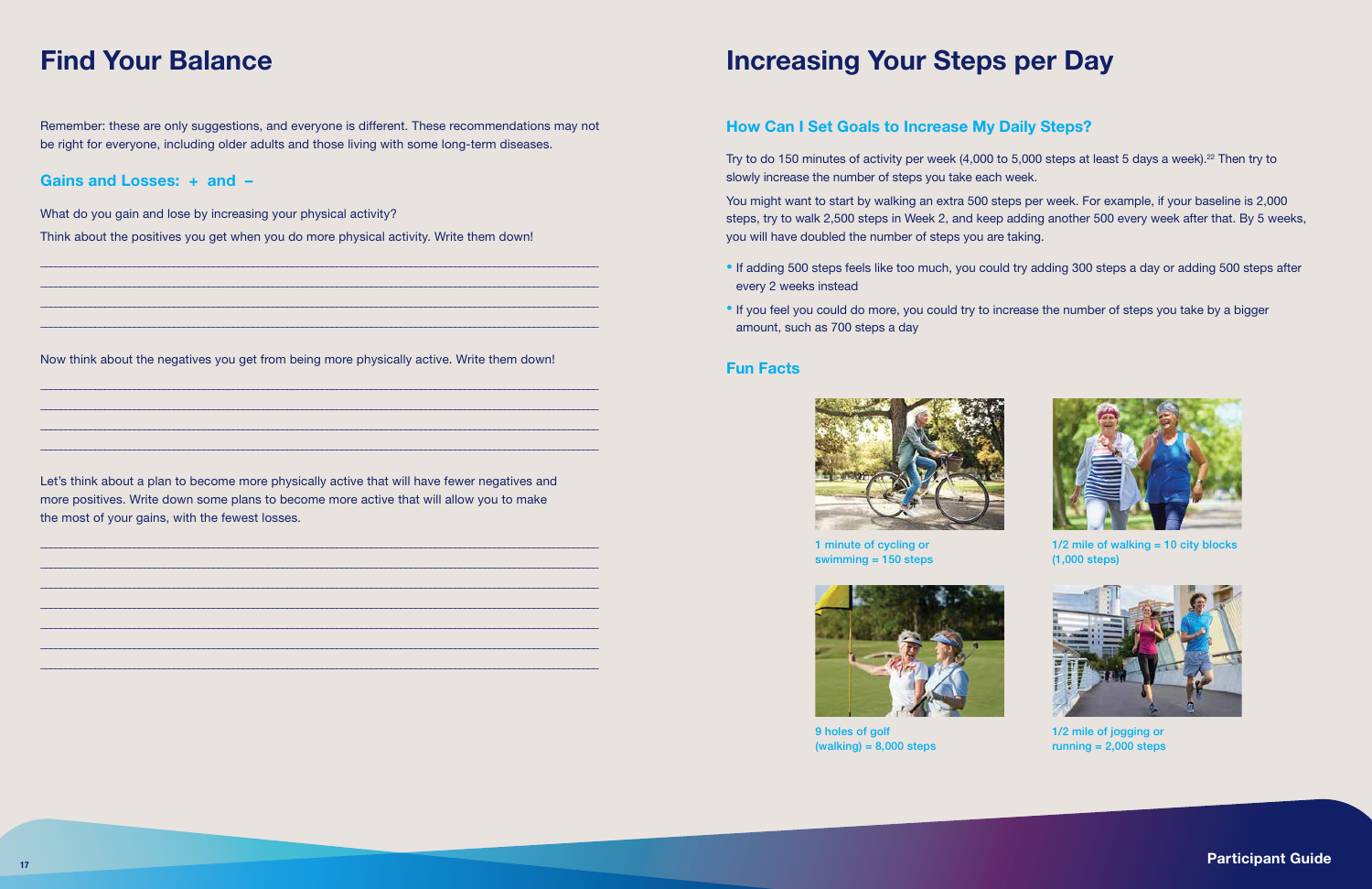### How Can I Set Goals to Increase My Daily Steps?

Try to do 150 minutes of activity per week (4,000 to 5,000 steps at least 5 days a week).<sup>22</sup> Then try to slowly increase the number of steps you take each week.

You might want to start by walking an extra 500 steps per week. For example, if your baseline is 2,000 steps, try to walk 2,500 steps in Week 2, and keep adding another 500 every week after that. By 5 weeks, you will have doubled the number of steps you are taking.

• If adding 500 steps feels like too much, you could try adding 300 steps a day or adding 500 steps after



- every 2 weeks instead
- If you feel you could do more, you could try to increase the number of steps you take by a bigger amount, such as 700 steps a day

### Fun Facts



Remember: these are only suggestions, and everyone is different. These recommendations may not be right for everyone, including older adults and those living with some long-term diseases.

### Gains and Losses: + and –

What do you gain and lose by increasing your physical activity?

Think about the positives you get when you do more physical activity. Write them down!

\_\_\_\_\_\_\_\_\_\_\_\_\_\_\_\_\_\_\_\_\_\_\_\_\_\_\_\_\_\_\_\_\_\_\_\_\_\_\_\_\_\_\_\_\_\_\_\_\_\_\_\_\_\_\_\_\_\_\_\_\_\_\_\_\_\_\_\_\_\_\_\_\_\_\_\_\_\_\_\_\_\_\_\_\_\_\_\_\_\_\_\_\_\_\_\_\_\_\_\_\_\_\_\_\_\_\_\_\_\_\_\_\_ \_\_\_\_\_\_\_\_\_\_\_\_\_\_\_\_\_\_\_\_\_\_\_\_\_\_\_\_\_\_\_\_\_\_\_\_\_\_\_\_\_\_\_\_\_\_\_\_\_\_\_\_\_\_\_\_\_\_\_\_\_\_\_\_\_\_\_\_\_\_\_\_\_\_\_\_\_\_\_\_\_\_\_\_\_\_\_\_\_\_\_\_\_\_\_\_\_\_\_\_\_\_\_\_\_\_\_\_\_\_\_\_\_ \_\_\_\_\_\_\_\_\_\_\_\_\_\_\_\_\_\_\_\_\_\_\_\_\_\_\_\_\_\_\_\_\_\_\_\_\_\_\_\_\_\_\_\_\_\_\_\_\_\_\_\_\_\_\_\_\_\_\_\_\_\_\_\_\_\_\_\_\_\_\_\_\_\_\_\_\_\_\_\_\_\_\_\_\_\_\_\_\_\_\_\_\_\_\_\_\_\_\_\_\_\_\_\_\_\_\_\_\_\_\_\_\_ \_\_\_\_\_\_\_\_\_\_\_\_\_\_\_\_\_\_\_\_\_\_\_\_\_\_\_\_\_\_\_\_\_\_\_\_\_\_\_\_\_\_\_\_\_\_\_\_\_\_\_\_\_\_\_\_\_\_\_\_\_\_\_\_\_\_\_\_\_\_\_\_\_\_\_\_\_\_\_\_\_\_\_\_\_\_\_\_\_\_\_\_\_\_\_\_\_\_\_\_\_\_\_\_\_\_\_\_\_\_\_\_\_



9 holes of golf  $(walking) = 8,000 steps$ 

Now think about the negatives you get from being more physically active. Write them down!

 $1/2$  mile of walking = 10 city blocks (1,000 steps)

\_\_\_\_\_\_\_\_\_\_\_\_\_\_\_\_\_\_\_\_\_\_\_\_\_\_\_\_\_\_\_\_\_\_\_\_\_\_\_\_\_\_\_\_\_\_\_\_\_\_\_\_\_\_\_\_\_\_\_\_\_\_\_\_\_\_\_\_\_\_\_\_\_\_\_\_\_\_\_\_\_\_\_\_\_\_\_\_\_\_\_\_\_\_\_\_\_\_\_\_\_\_\_\_\_\_\_\_\_\_\_\_\_ \_\_\_\_\_\_\_\_\_\_\_\_\_\_\_\_\_\_\_\_\_\_\_\_\_\_\_\_\_\_\_\_\_\_\_\_\_\_\_\_\_\_\_\_\_\_\_\_\_\_\_\_\_\_\_\_\_\_\_\_\_\_\_\_\_\_\_\_\_\_\_\_\_\_\_\_\_\_\_\_\_\_\_\_\_\_\_\_\_\_\_\_\_\_\_\_\_\_\_\_\_\_\_\_\_\_\_\_\_\_\_\_\_ \_\_\_\_\_\_\_\_\_\_\_\_\_\_\_\_\_\_\_\_\_\_\_\_\_\_\_\_\_\_\_\_\_\_\_\_\_\_\_\_\_\_\_\_\_\_\_\_\_\_\_\_\_\_\_\_\_\_\_\_\_\_\_\_\_\_\_\_\_\_\_\_\_\_\_\_\_\_\_\_\_\_\_\_\_\_\_\_\_\_\_\_\_\_\_\_\_\_\_\_\_\_\_\_\_\_\_\_\_\_\_\_\_ \_\_\_\_\_\_\_\_\_\_\_\_\_\_\_\_\_\_\_\_\_\_\_\_\_\_\_\_\_\_\_\_\_\_\_\_\_\_\_\_\_\_\_\_\_\_\_\_\_\_\_\_\_\_\_\_\_\_\_\_\_\_\_\_\_\_\_\_\_\_\_\_\_\_\_\_\_\_\_\_\_\_\_\_\_\_\_\_\_\_\_\_\_\_\_\_\_\_\_\_\_\_\_\_\_\_\_\_\_\_\_\_\_

Let's think about a plan to become more physically active that will have fewer negatives and more positives. Write down some plans to become more active that will allow you to make the most of your gains, with the fewest losses.

\_\_\_\_\_\_\_\_\_\_\_\_\_\_\_\_\_\_\_\_\_\_\_\_\_\_\_\_\_\_\_\_\_\_\_\_\_\_\_\_\_\_\_\_\_\_\_\_\_\_\_\_\_\_\_\_\_\_\_\_\_\_\_\_\_\_\_\_\_\_\_\_\_\_\_\_\_\_\_\_\_\_\_\_\_\_\_\_\_\_\_\_\_\_\_\_\_\_\_\_\_\_\_\_\_\_\_\_\_\_\_\_\_ \_\_\_\_\_\_\_\_\_\_\_\_\_\_\_\_\_\_\_\_\_\_\_\_\_\_\_\_\_\_\_\_\_\_\_\_\_\_\_\_\_\_\_\_\_\_\_\_\_\_\_\_\_\_\_\_\_\_\_\_\_\_\_\_\_\_\_\_\_\_\_\_\_\_\_\_\_\_\_\_\_\_\_\_\_\_\_\_\_\_\_\_\_\_\_\_\_\_\_\_\_\_\_\_\_\_\_\_\_\_\_\_\_ \_\_\_\_\_\_\_\_\_\_\_\_\_\_\_\_\_\_\_\_\_\_\_\_\_\_\_\_\_\_\_\_\_\_\_\_\_\_\_\_\_\_\_\_\_\_\_\_\_\_\_\_\_\_\_\_\_\_\_\_\_\_\_\_\_\_\_\_\_\_\_\_\_\_\_\_\_\_\_\_\_\_\_\_\_\_\_\_\_\_\_\_\_\_\_\_\_\_\_\_\_\_\_\_\_\_\_\_\_\_\_\_\_ \_\_\_\_\_\_\_\_\_\_\_\_\_\_\_\_\_\_\_\_\_\_\_\_\_\_\_\_\_\_\_\_\_\_\_\_\_\_\_\_\_\_\_\_\_\_\_\_\_\_\_\_\_\_\_\_\_\_\_\_\_\_\_\_\_\_\_\_\_\_\_\_\_\_\_\_\_\_\_\_\_\_\_\_\_\_\_\_\_\_\_\_\_\_\_\_\_\_\_\_\_\_\_\_\_\_\_\_\_\_\_\_\_ \_\_\_\_\_\_\_\_\_\_\_\_\_\_\_\_\_\_\_\_\_\_\_\_\_\_\_\_\_\_\_\_\_\_\_\_\_\_\_\_\_\_\_\_\_\_\_\_\_\_\_\_\_\_\_\_\_\_\_\_\_\_\_\_\_\_\_\_\_\_\_\_\_\_\_\_\_\_\_\_\_\_\_\_\_\_\_\_\_\_\_\_\_\_\_\_\_\_\_\_\_\_\_\_\_\_\_\_\_\_\_\_\_ \_\_\_\_\_\_\_\_\_\_\_\_\_\_\_\_\_\_\_\_\_\_\_\_\_\_\_\_\_\_\_\_\_\_\_\_\_\_\_\_\_\_\_\_\_\_\_\_\_\_\_\_\_\_\_\_\_\_\_\_\_\_\_\_\_\_\_\_\_\_\_\_\_\_\_\_\_\_\_\_\_\_\_\_\_\_\_\_\_\_\_\_\_\_\_\_\_\_\_\_\_\_\_\_\_\_\_\_\_\_\_\_\_ \_\_\_\_\_\_\_\_\_\_\_\_\_\_\_\_\_\_\_\_\_\_\_\_\_\_\_\_\_\_\_\_\_\_\_\_\_\_\_\_\_\_\_\_\_\_\_\_\_\_\_\_\_\_\_\_\_\_\_\_\_\_\_\_\_\_\_\_\_\_\_\_\_\_\_\_\_\_\_\_\_\_\_\_\_\_\_\_\_\_\_\_\_\_\_\_\_\_\_\_\_\_\_\_\_\_\_\_\_\_\_\_\_

## Find Your Balance **Increasing Your Steps per Day**

1 minute of cycling or swimming = 150 steps



1/2 mile of jogging or running = 2,000 steps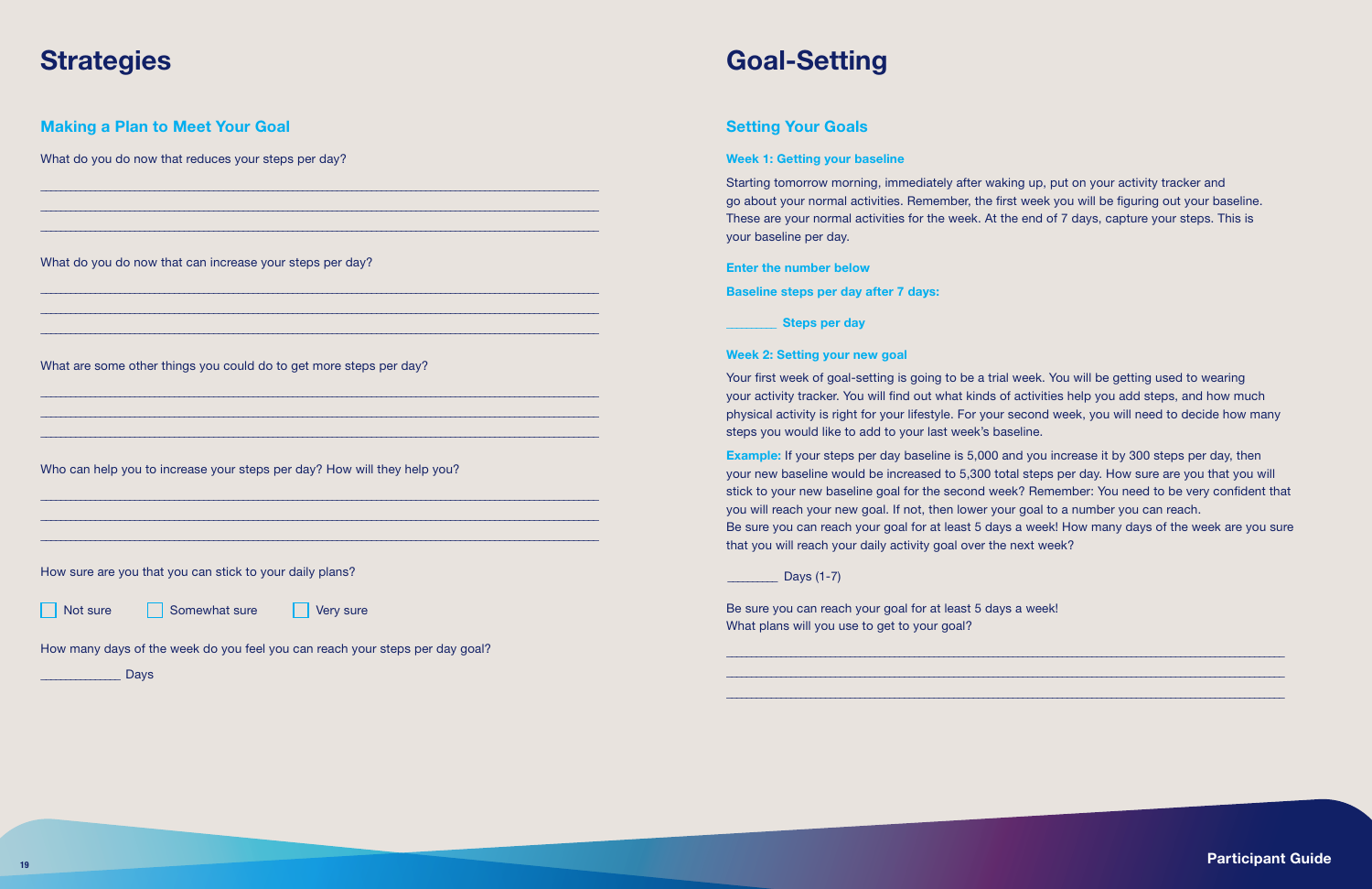### Setting Your Goals

### Week 1: Getting your baseline

Starting tomorrow morning, immediately after waking up, put on your activity tracker and go about your normal activities. Remember, the first week you will be figuring out your baseline. These are your normal activities for the week. At the end of 7 days, capture your steps. This is your baseline per day.

### Enter the number below

Baseline steps per day after 7 days:

Steps per day

### Week 2: Setting your new goal

Your first week of goal-setting is going to be a trial week. You will be getting used to wearing your activity tracker. You will find out what kinds of activities help you add steps, and how much physical activity is right for your lifestyle. For your second week, you will need to decide how many steps you would like to add to your last week's baseline.

Example: If your steps per day baseline is 5,000 and you increase it by 300 steps per day, then your new baseline would be increased to 5,300 total steps per day. How sure are you that you will stick to your new baseline goal for the second week? Remember: You need to be very confident that you will reach your new goal. If not, then lower your goal to a number you can reach. Be sure you can reach your goal for at least 5 days a week! How many days of the week are you sure that you will reach your daily activity goal over the next week?

### \_\_\_\_\_\_\_\_\_\_ Days (1-7)

Be sure you can reach your goal for at least 5 days a week! What plans will you use to get to your goal?

19 Participant Guide in the contract of the contract of the contract of the contract of the contract of the contract of the contract of the contract of the contract of the contract of the contract of the contract of the co

\_\_\_\_\_\_\_\_\_\_\_\_\_\_\_\_\_\_\_\_\_\_\_\_\_\_\_\_\_\_\_\_\_\_\_\_\_\_\_\_\_\_\_\_\_\_\_\_\_\_\_\_\_\_\_\_\_\_\_\_\_\_\_\_\_\_\_\_\_\_\_\_\_\_\_\_\_\_\_\_\_\_\_\_\_\_\_\_\_\_\_\_\_\_\_\_\_\_\_\_\_\_\_\_\_\_\_\_\_\_\_\_\_ \_\_\_\_\_\_\_\_\_\_\_\_\_\_\_\_\_\_\_\_\_\_\_\_\_\_\_\_\_\_\_\_\_\_\_\_\_\_\_\_\_\_\_\_\_\_\_\_\_\_\_\_\_\_\_\_\_\_\_\_\_\_\_\_\_\_\_\_\_\_\_\_\_\_\_\_\_\_\_\_\_\_\_\_\_\_\_\_\_\_\_\_\_\_\_\_\_\_\_\_\_\_\_\_\_\_\_\_\_\_\_\_\_ \_\_\_\_\_\_\_\_\_\_\_\_\_\_\_\_\_\_\_\_\_\_\_\_\_\_\_\_\_\_\_\_\_\_\_\_\_\_\_\_\_\_\_\_\_\_\_\_\_\_\_\_\_\_\_\_\_\_\_\_\_\_\_\_\_\_\_\_\_\_\_\_\_\_\_\_\_\_\_\_\_\_\_\_\_\_\_\_\_\_\_\_\_\_\_\_\_\_\_\_\_\_\_\_\_\_\_\_\_\_\_\_\_

| <b>Making a Plan to Meet Your Goal</b>                                       |  |
|------------------------------------------------------------------------------|--|
| What do you do now that reduces your steps per day?                          |  |
|                                                                              |  |
|                                                                              |  |
| What do you do now that can increase your steps per day?                     |  |
|                                                                              |  |
|                                                                              |  |
| What are some other things you could do to get more steps per day?           |  |
|                                                                              |  |
|                                                                              |  |
| Who can help you to increase your steps per day? How will they help you?     |  |
|                                                                              |  |
|                                                                              |  |
| How sure are you that you can stick to your daily plans?                     |  |
| Not sure<br>Somewhat sure<br>Very sure                                       |  |
| How many days of the week do you feel you can reach your steps per day goal? |  |

Days

## Strategies Goal-Setting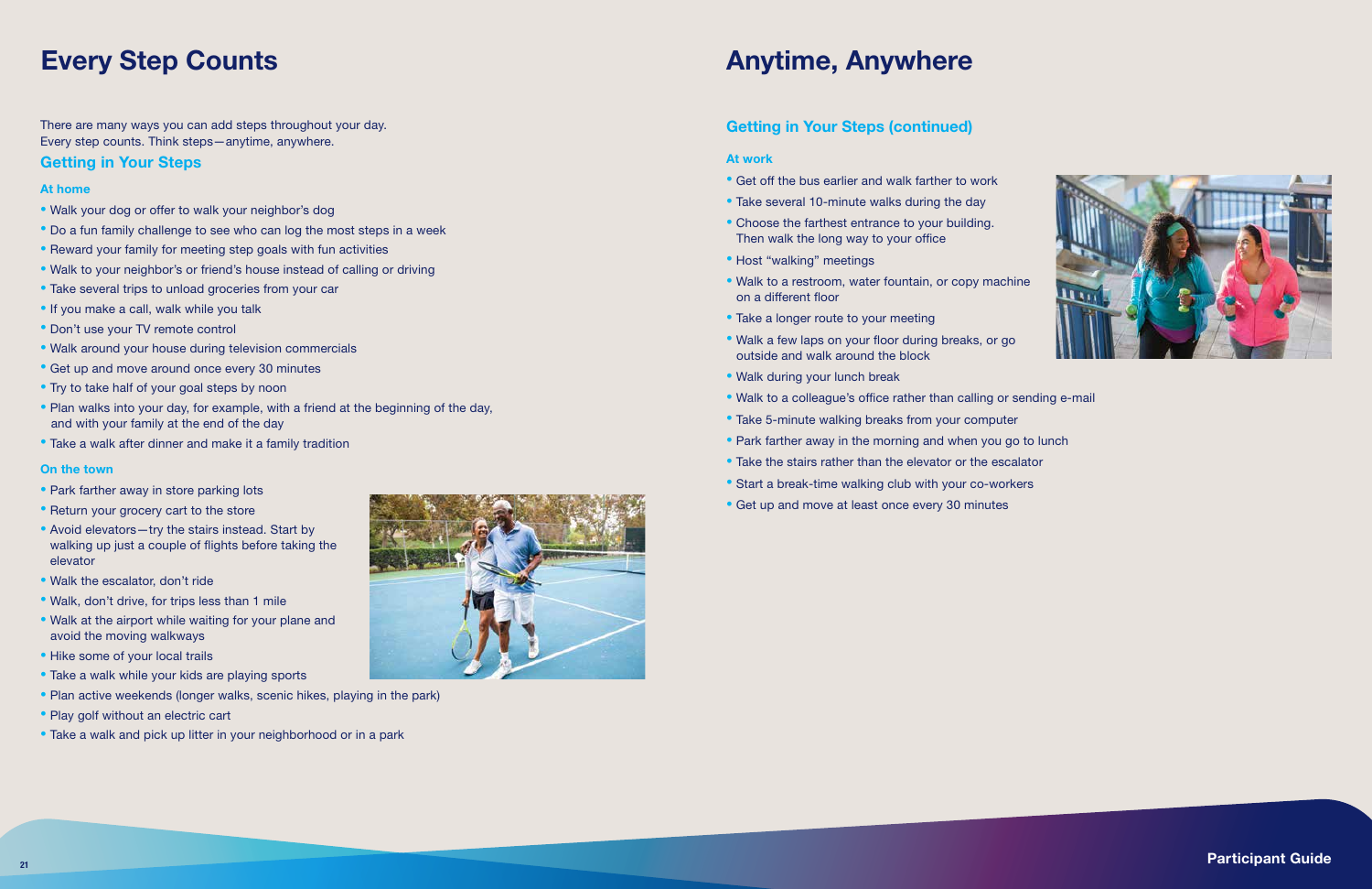There are many ways you can add steps throughout your day. Every step counts. Think steps—anytime, anywhere.

### Getting in Your Steps

### At home

- Walk your dog or offer to walk your neighbor's dog
- Do a fun family challenge to see who can log the most steps in a week
- Reward your family for meeting step goals with fun activities
- Walk to your neighbor's or friend's house instead of calling or driving
- Take several trips to unload groceries from your car
- If you make a call, walk while you talk
- Don't use your TV remote control
- Walk around your house during television commercials
- Get up and move around once every 30 minutes
- Try to take half of your goal steps by noon
- Plan walks into your day, for example, with a friend at the beginning of the day, and with your family at the end of the day
- Take a walk after dinner and make it a family tradition

- Park farther away in store parking lots
- Return your grocery cart to the store
- Avoid elevators-try the stairs instead. Start by walking up just a couple of flights before taking the elevator
- Walk the escalator, don't ride
- Walk, don't drive, for trips less than 1 mile
- Walk at the airport while waiting for your plane and avoid the moving walkways
- Hike some of your local trails
- Take a walk while your kids are playing sports
- Plan active weekends (longer walks, scenic hikes, playing in the park)
- Play golf without an electric cart
- Take a walk and pick up litter in your neighborhood or in a park



#### On the town

## Every Step Counts

### Getting in Your Steps (continued)

### At work

- Get off the bus earlier and walk farther to work
- Take several 10-minute walks during the day
- Choose the farthest entrance to your building. Then walk the long way to your office
- Host "walking" meetings
- Walk to a restroom, water fountain, or copy machine on a different floor
- Take a longer route to your meeting
- Walk a few laps on your floor during breaks, or go outside and walk around the block
- Walk during your lunch break
- Walk to a colleague's office rather than calling or sending e-mail
- Take 5-minute walking breaks from your computer
- Park farther away in the morning and when you go to lunch
- Take the stairs rather than the elevator or the escalator
- Start a break-time walking club with your co-workers
- Get up and move at least once every 30 minutes



21 Participant Guide in the contract of the contract of the contract of the contract of the contract of the contract of the contract of the contract of the contract of the contract of the contract of the contract of the co

## Anytime, Anywhere